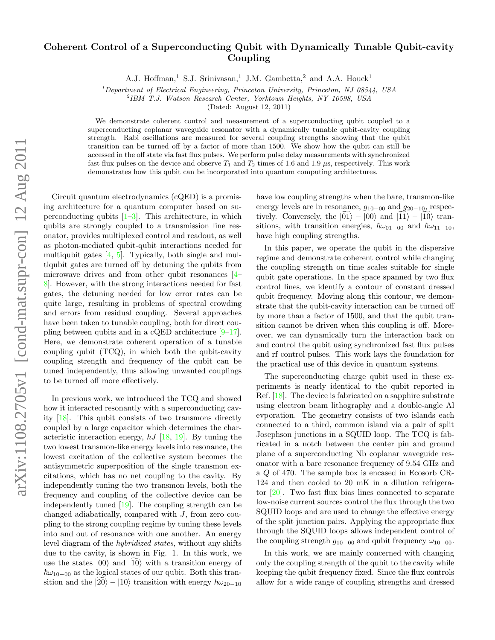## Coherent Control of a Superconducting Qubit with Dynamically Tunable Qubit-cavity Coupling

A.J. Hoffman,<sup>1</sup> S.J. Srinivasan,<sup>1</sup> J.M. Gambetta,<sup>2</sup> and A.A. Houck<sup>1</sup>

 $1$ Department of Electrical Engineering, Princeton University, Princeton, NJ 08544, USA

2 IBM T.J. Watson Research Center, Yorktown Heights, NY 10598, USA

(Dated: August 12, 2011)

We demonstrate coherent control and measurement of a superconducting qubit coupled to a superconducting coplanar waveguide resonator with a dynamically tunable qubit-cavity coupling strength. Rabi oscillations are measured for several coupling strengths showing that the qubit transition can be turned off by a factor of more than 1500. We show how the qubit can still be accessed in the off state via fast flux pulses. We perform pulse delay measurements with synchronized fast flux pulses on the device and observe  $T_1$  and  $T_2$  times of 1.6 and 1.9  $\mu$ s, respectively. This work demonstrates how this qubit can be incorporated into quantum computing architectures.

Circuit quantum electrodynamics (cQED) is a promising architecture for a quantum computer based on superconducting qubits  $[1-3]$  $[1-3]$ . This architecture, in which qubits are strongly coupled to a transmission line resonator, provides multiplexed control and readout, as well as photon-mediated qubit-qubit interactions needed for multiqubit gates  $[4, 5]$  $[4, 5]$  $[4, 5]$ . Typically, both single and multiqubit gates are turned off by detuning the qubits from microwave drives and from other qubit resonances [\[4–](#page-3-2) [8\]](#page-3-4). However, with the strong interactions needed for fast gates, the detuning needed for low error rates can be quite large, resulting in problems of spectral crowding and errors from residual coupling. Several approaches have been taken to tunable coupling, both for direct coupling between qubits and in a cQED architecture [\[9–](#page-3-5)[17\]](#page-3-6). Here, we demonstrate coherent operation of a tunable coupling qubit (TCQ), in which both the qubit-cavity coupling strength and frequency of the qubit can be tuned independently, thus allowing unwanted couplings to be turned off more effectively.

In previous work, we introduced the TCQ and showed how it interacted resonantly with a superconducting cavity [\[18\]](#page-3-7). This qubit consists of two transmons directly coupled by a large capacitor which determines the characteristic interaction energy,  $\hbar J$  [\[18,](#page-3-7) [19\]](#page-3-8). By tuning the two lowest transmon-like energy levels into resonance, the lowest excitation of the collective system becomes the antisymmetric superposition of the single transmon excitations, which has no net coupling to the cavity. By independently tuning the two transmon levels, both the frequency and coupling of the collective device can be independently tuned [\[19\]](#page-3-8). The coupling strength can be changed adiabatically, compared with J, from zero coupling to the strong coupling regime by tuning these levels into and out of resonance with one another. An energy level diagram of the hybridized states, without any shifts due to the cavity, is shown in Fig. 1. In this work, we use the states  $|00\rangle$  and  $|10\rangle$  with a transition energy of  $\hbar\omega_{10-00}$  as the logical states of our qubit. Both this transition and the  $|20\rangle - |10\rangle$  transition with energy  $\hbar\omega_{20-10}$ 

have low coupling strengths when the bare, transmon-like energy levels are in resonance,  $q_{10-00}$  and  $q_{20-10}$ , respectively. Conversely, the  $\widetilde{01}\rangle - \ket{00}$  and  $\widetilde{111}\rangle - \widetilde{10}\rangle$  transitions, with transition energies,  $\hbar\omega_{01-00}$  and  $\hbar\omega_{11-10}$ , have high coupling strengths.

In this paper, we operate the qubit in the dispersive regime and demonstrate coherent control while changing the coupling strength on time scales suitable for single qubit gate operations. In the space spanned by two flux control lines, we identify a contour of constant dressed qubit frequency. Moving along this contour, we demonstrate that the qubit-cavity interaction can be turned off by more than a factor of 1500, and that the qubit transition cannot be driven when this coupling is off. Moreover, we can dynamically turn the interaction back on and control the qubit using synchronized fast flux pulses and rf control pulses. This work lays the foundation for the practical use of this device in quantum systems.

The superconducting charge qubit used in these experiments is nearly identical to the qubit reported in Ref. [\[18\]](#page-3-7). The device is fabricated on a sapphire substrate using electron beam lithography and a double-angle Al evporation. The geometry consists of two islands each connected to a third, common island via a pair of split Josephson junctions in a SQUID loop. The TCQ is fabricated in a notch between the center pin and ground plane of a superconducting Nb coplanar waveguide resonator with a bare resonance frequency of 9.54 GHz and a Q of 470. The sample box is encased in Ecosorb CR-124 and then cooled to 20 mK in a dilution refrigerator [\[20\]](#page-3-9). Two fast flux bias lines connected to separate low-noise current sources control the flux through the two SQUID loops and are used to change the effective energy of the split junction pairs. Applying the appropriate flux through the SQUID loops allows independent control of the coupling strength  $g_{10-00}$  and qubit frequency  $\omega_{10-00}$ .

In this work, we are mainly concerned with changing only the coupling strength of the qubit to the cavity while keeping the qubit frequency fixed. Since the flux controls allow for a wide range of coupling strengths and dressed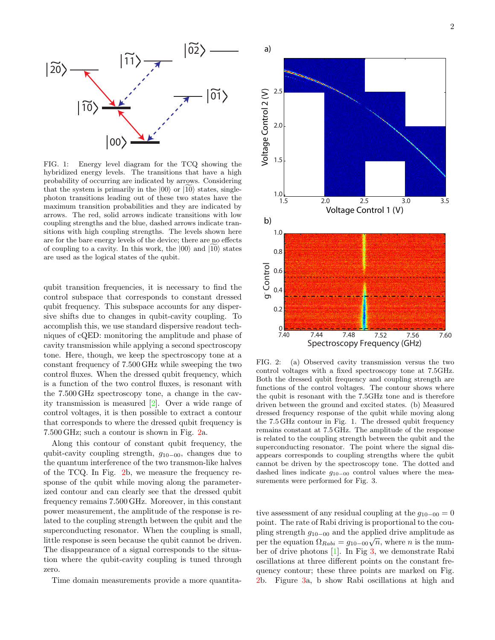

FIG. 1: Energy level diagram for the TCQ showing the hybridized energy levels. The transitions that have a high probability of occurring are indicated by arrows. Considering that the system is primarily in the  $|00\rangle$  or  $|10\rangle$  states, singlephoton transitions leading out of these two states have the maximum transition probabilities and they are indicated by arrows. The red, solid arrows indicate transitions with low coupling strengths and the blue, dashed arrows indicate transitions with high coupling strengths. The levels shown here are for the bare energy levels of the device; there are no effects of coupling to a cavity. In this work, the  $|00\rangle$  and  $|10\rangle$  states are used as the logical states of the qubit.

qubit transition frequencies, it is necessary to find the control subspace that corresponds to constant dressed qubit frequency. This subspace accounts for any dispersive shifts due to changes in qubit-cavity coupling. To accomplish this, we use standard dispersive readout techniques of cQED: monitoring the amplitude and phase of cavity transmission while applying a second spectroscopy tone. Here, though, we keep the spectroscopy tone at a constant frequency of 7.500 GHz while sweeping the two control fluxes. When the dressed qubit frequency, which is a function of the two control fluxes, is resonant with the 7.500 GHz spectroscopy tone, a change in the cavity transmission is measured [\[2\]](#page-3-10). Over a wide range of control voltages, it is then possible to extract a contour that corresponds to where the dressed qubit frequency is 7.500 GHz; such a contour is shown in Fig. [2a](#page-1-0).

Along this contour of constant qubit frequency, the qubit-cavity coupling strength,  $g_{10-00}$ , changes due to the quantum interference of the two transmon-like halves of the TCQ. In Fig. [2b](#page-1-0), we measure the frequency response of the qubit while moving along the parameterized contour and can clearly see that the dressed qubit frequency remains 7.500 GHz. Moreover, in this constant power measurement, the amplitude of the response is related to the coupling strength between the qubit and the superconducting resonator. When the coupling is small, little response is seen because the qubit cannot be driven. The disappearance of a signal corresponds to the situation where the qubit-cavity coupling is tuned through zero.

Time domain measurements provide a more quantita-



<span id="page-1-0"></span>FIG. 2: (a) Observed cavity transmission versus the two control voltages with a fixed spectroscopy tone at 7.5GHz. Both the dressed qubit frequency and coupling strength are functions of the control voltages. The contour shows where the qubit is resonant with the 7.5GHz tone and is therefore driven between the ground and excited states. (b) Measured dressed frequency response of the qubit while moving along the 7.5 GHz contour in Fig. 1. The dressed qubit frequency remains constant at 7.5 GHz. The amplitude of the response is related to the coupling strength between the qubit and the superconducting resonator. The point where the signal disappears corresponds to coupling strengths where the qubit cannot be driven by the spectroscopy tone. The dotted and dashed lines indicate  $g_{10-00}$  control values where the measurements were performed for Fig. 3.

tive assessment of any residual coupling at the  $g_{10-00} = 0$ point. The rate of Rabi driving is proportional to the coupling strength  $g_{10-00}$  and the applied drive amplitude as ping strength  $g_{10-00}$  and the applied drive amplitude as<br>per the equation  $\Omega_{Rabi} = g_{10-00}\sqrt{n}$ , where *n* is the number of drive photons [\[1\]](#page-3-0). In Fig [3,](#page-2-0) we demonstrate Rabi oscillations at three different points on the constant frequency contour; these three points are marked on Fig. [2b](#page-1-0). Figure [3a](#page-2-0), b show Rabi oscillations at high and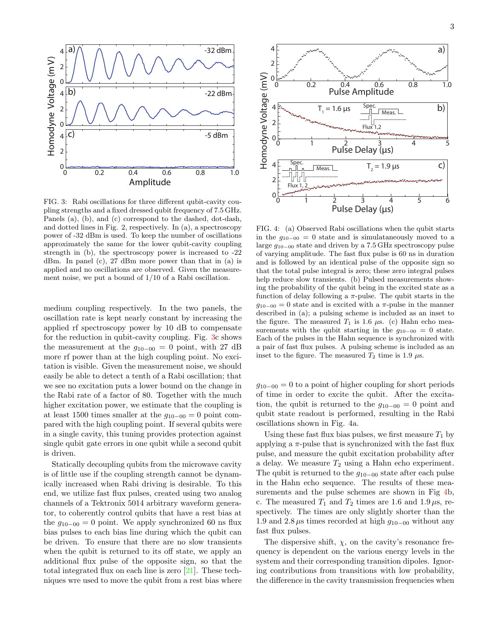

<span id="page-2-0"></span>FIG. 3: Rabi oscillations for three different qubit-cavity coupling strengths and a fixed dressed qubit frequency of 7.5 GHz. Panels (a), (b), and (c) correspond to the dashed, dot-dash, and dotted lines in Fig. 2, respectively. In (a), a spectroscopy power of -32 dBm is used. To keep the number of oscillations approximately the same for the lower qubit-cavity coupling strength in (b), the spectroscopy power is increased to -22 dBm. In panel (c), 27 dBm more power than that in (a) is applied and no oscillations are observed. Given the measurement noise, we put a bound of 1/10 of a Rabi oscillation.

medium coupling respectively. In the two panels, the oscillation rate is kept nearly constant by increasing the applied rf spectroscopy power by 10 dB to compensate for the reduction in qubit-cavity coupling. Fig. [3c](#page-2-0) shows the measurement at the  $g_{10-00} = 0$  point, with 27 dB more rf power than at the high coupling point. No excitation is visible. Given the measurement noise, we should easily be able to detect a tenth of a Rabi oscillation; that we see no excitation puts a lower bound on the change in the Rabi rate of a factor of 80. Together with the much higher excitation power, we estimate that the coupling is at least 1500 times smaller at the  $g_{10-00} = 0$  point compared with the high coupling point. If several qubits were in a single cavity, this tuning provides protection against single qubit gate errors in one qubit while a second qubit is driven.

Statically decoupling qubits from the microwave cavity is of little use if the coupling strength cannot be dynamically increased when Rabi driving is desirable. To this end, we utilize fast flux pulses, created using two analog channels of a Tektronix 5014 arbitrary waveform generator, to coherently control qubits that have a rest bias at the  $g_{10-00} = 0$  point. We apply synchronized 60 ns flux bias pulses to each bias line during which the qubit can be driven. To ensure that there are no slow transients when the qubit is returned to its off state, we apply an additional flux pulse of the opposite sign, so that the total integrated flux on each line is zero [\[21\]](#page-3-11). These techniques wre used to move the qubit from a rest bias where



<span id="page-2-1"></span>FIG. 4: (a) Observed Rabi oscillations when the qubit starts in the  $q_{10-00} = 0$  state and is simulataneously moved to a large  $q_{10-00}$  state and driven by a 7.5 GHz spectroscopy pulse of varying amplitude. The fast flux pulse is 60 ns in duration and is followed by an identical pulse of the opposite sign so that the total pulse integral is zero; these zero integral pulses help reduce slow transients. (b) Pulsed measurements showing the probability of the qubit being in the excited state as a function of delay following a  $\pi$ -pulse. The qubit starts in the  $g_{10-00} = 0$  state and is excited with a  $\pi$ -pulse in the manner described in (a); a pulsing scheme is included as an inset to the figure. The measured  $T_1$  is 1.6  $\mu$ s. (c) Hahn echo measurements with the qubit starting in the  $g_{10-00} = 0$  state. Each of the pulses in the Hahn sequence is synchronized with a pair of fast flux pulses. A pulsing scheme is included as an inset to the figure. The measured  $T_2$  time is 1.9  $\mu$ s.

 $g_{10-00} = 0$  to a point of higher coupling for short periods of time in order to excite the qubit. After the excitation, the qubit is returned to the  $g_{10-00} = 0$  point and qubit state readout is performed, resulting in the Rabi oscillations shown in Fig. 4a.

Using these fast flux bias pulses, we first measure  $T_1$  by applying a  $\pi$ -pulse that is synchronized with the fast flux pulse, and measure the qubit excitation probability after a delay. We measure  $T_2$  using a Hahn echo experiment. The qubit is returned to the  $g_{10-00}$  state after each pulse in the Hahn echo sequence. The results of these measurements and the pulse schemes are shown in Fig  $4b$ , c. The measured  $T_1$  and  $T_2$  times are 1.6 and 1.9  $\mu$ s, respectively. The times are only slightly shorter than the 1.9 and 2.8  $\mu$ s times recorded at high  $g_{10-00}$  without any fast flux pulses.

The dispersive shift,  $\chi$ , on the cavity's resonance frequency is dependent on the various energy levels in the system and their corresponding transition dipoles. Ignoring contributions from transitions with low probability, the difference in the cavity transmission frequencies when